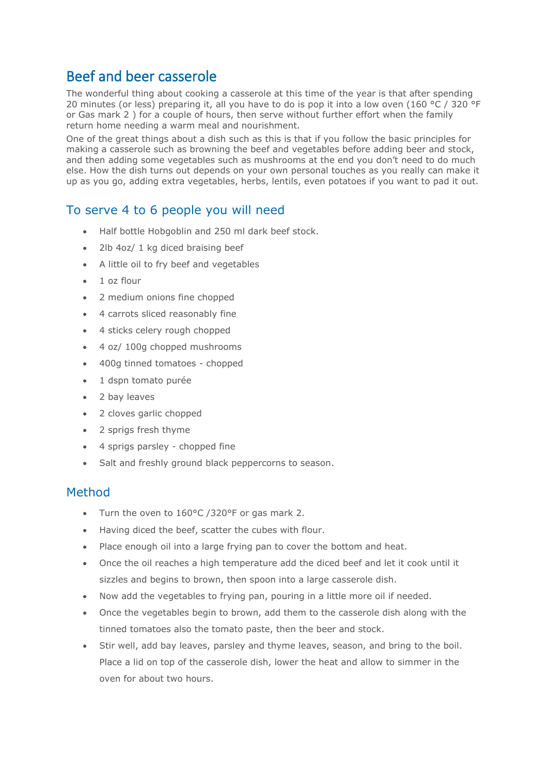## Beef and beer casserole

The wonderful thing about cooking a casserole at this time of the year is that after spending 20 minutes (or less) preparing it, all you have to do is pop it into a low oven (160 °C / 320 °F or Gas mark 2 ) for a couple of hours, then serve without further effort when the family return home needing a warm meal and nourishment.

One of the great things about a dish such as this is that if you follow the basic principles for making a casserole such as browning the beef and vegetables before adding beer and stock, and then adding some vegetables such as mushrooms at the end you don't need to do much else. How the dish turns out depends on your own personal touches as you really can make it up as you go, adding extra vegetables, herbs, lentils, even potatoes if you want to pad it out.

## To serve 4 to 6 people you will need

- Half bottle Hobgoblin and 250 ml dark beef stock.
- 2lb 4oz/ 1 kg diced braising beef
- A little oil to fry beef and vegetables
- 1 oz flour
- 2 medium onions fine chopped
- 4 carrots sliced reasonably fine
- 4 sticks celery rough chopped
- 4 oz/ 100g chopped mushrooms
- 400g tinned tomatoes chopped
- 1 dspn tomato purée
- 2 bay leaves
- 2 cloves garlic chopped
- 2 sprigs fresh thyme
- 4 sprigs parsley chopped fine
- Salt and freshly ground black peppercorns to season.

## Method

- Turn the oven to 160°C /320°F or gas mark 2.
- Having diced the beef, scatter the cubes with flour.
- Place enough oil into a large frying pan to cover the bottom and heat.
- Once the oil reaches a high temperature add the diced beef and let it cook until it sizzles and begins to brown, then spoon into a large casserole dish.
- Now add the vegetables to frying pan, pouring in a little more oil if needed.
- Once the vegetables begin to brown, add them to the casserole dish along with the tinned tomatoes also the tomato paste, then the beer and stock.
- Stir well, add bay leaves, parsley and thyme leaves, season, and bring to the boil. Place a lid on top of the casserole dish, lower the heat and allow to simmer in the oven for about two hours.